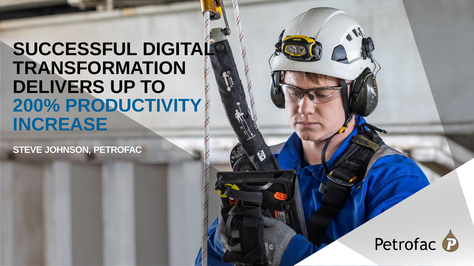# **SUCCESSFUL DIGITAL TRANSFORMATION DELIVERS UP TO 200% PRODUCTIVITY INCREASE**

**STEVE JOHNSON, PETROFAC**

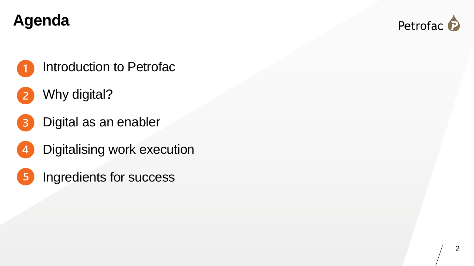### **Agenda**



### Introduction to Petrofac

- Why digital?  $\overline{2}$
- Digital as an enabler  $\overline{3}$
- Digitalising work execution  $\overline{4}$
- Ingredients for success $5\overline{)}$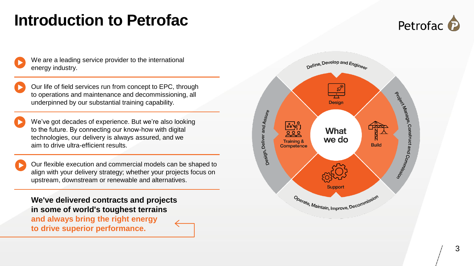### **Introduction to Petrofac**



We are a leading service provider to the international energy industry.

Our life of field services run from concept to EPC, through to operations and maintenance and decommissioning, all underpinned by our substantial training capability.

We've got decades of experience. But we're also looking to the future. By connecting our know -how with digital technologies, our delivery is always assured, and we aim to drive ultra -efficient results.

Our flexible execution and commercial models can be shaped to align with your delivery strategy; whether your projects focus on upstream, downstream or renewable and alternatives.

**We've delivered contracts and projects in some of world's toughest terrains and always bring the right energy to drive superior performance.**

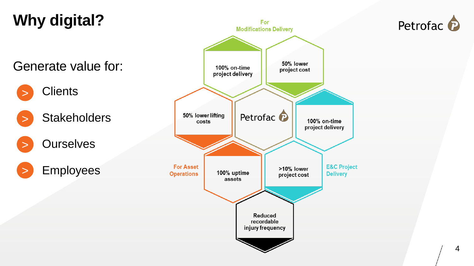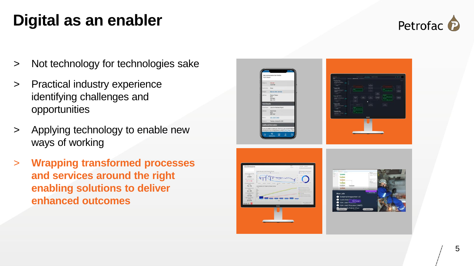### **Digital as an enabler**



- > Not technology for technologies sake
- > Practical industry experience identifying challenges and opportunities
- > Applying technology to enable new ways of working
- > **Wrapping transformed processes and services around the right enabling solutions to deliver enhanced outcomes**

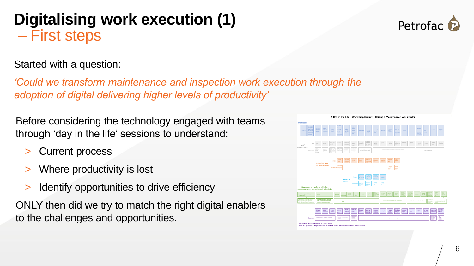#### 6

### **Digitalising work execution (1)** – First steps

### Started with a question:

*'Could we transform maintenance and inspection work execution through the adoption of digital delivering higher levels of productivity'*

Before considering the technology engaged with teams through 'day in the life' sessions to understand:

- Current process
- Where productivity is lost
- Identify opportunities to drive efficiency

ONLY then did we try to match the right digital enablers to the challenges and opportunities.



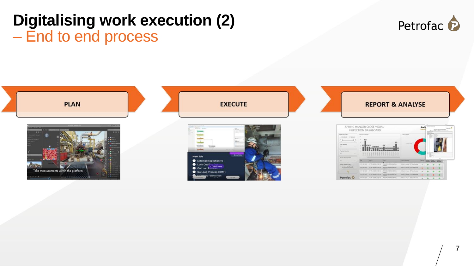### **Digitalising work execution (2)**  – End to end process



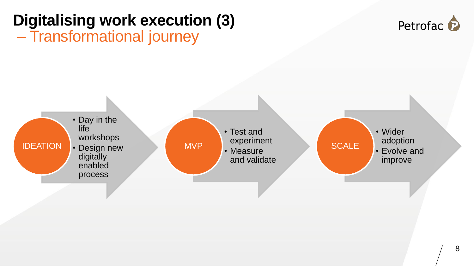

#### 8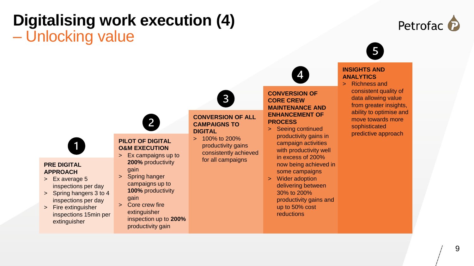### **Digitalising work execution (4)** – Unlocking value

## Petrofac P



#### **INSIGHTS AND ANALYTICS**

> Richness and consistent quality of data allowing value from greater insights, ability to optimise and move towards more sophisticated predictive approach



#### **PRE DIGITAL APPROACH**

- > Ex average 5 inspections per day
- > Spring hangers 3 to 4 inspections per day
- > Fire extinguisher inspections 15min per extinguisher



**PILOT OF DIGITAL O&M EXECUTION**

 $\overline{2}$ 

- > Ex campaigns up to **200%** productivity gain
- > Spring hanger campaigns up to **100%** productivity
- gain > Core crew fire
	- extinguisher inspection up to **200%**  productivity gain

#### **CONVERSION OF ALL CAMPAIGNS TO DIGITAL**

 $\mathbf{3}$ 

> 100% to 200% productivity gains consistently achieved for all campaigns

**PROCESS** > Seeing continued productivity gains in campaign activities with productivity well in excess of 200% now being achieved in

**CONVERSION OF CORE CREW MAINTENANCE AND ENHANCEMENT OF** 

some campaigns > Wider adoption delivering between 30% to 200% productivity gains and up to 50% cost reductions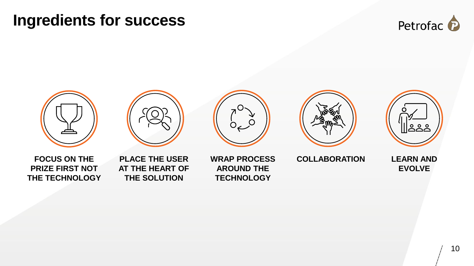### **Ingredients for success**











**FOCUS ON THE PRIZE FIRST NOT THE TECHNOLOGY**

**PLACE THE USER AT THE HEART OF THE SOLUTION**

**WRAP PROCESS AROUND THE TECHNOLOGY**

**COLLABORATION LEARN AND** 



**EVOLVE**